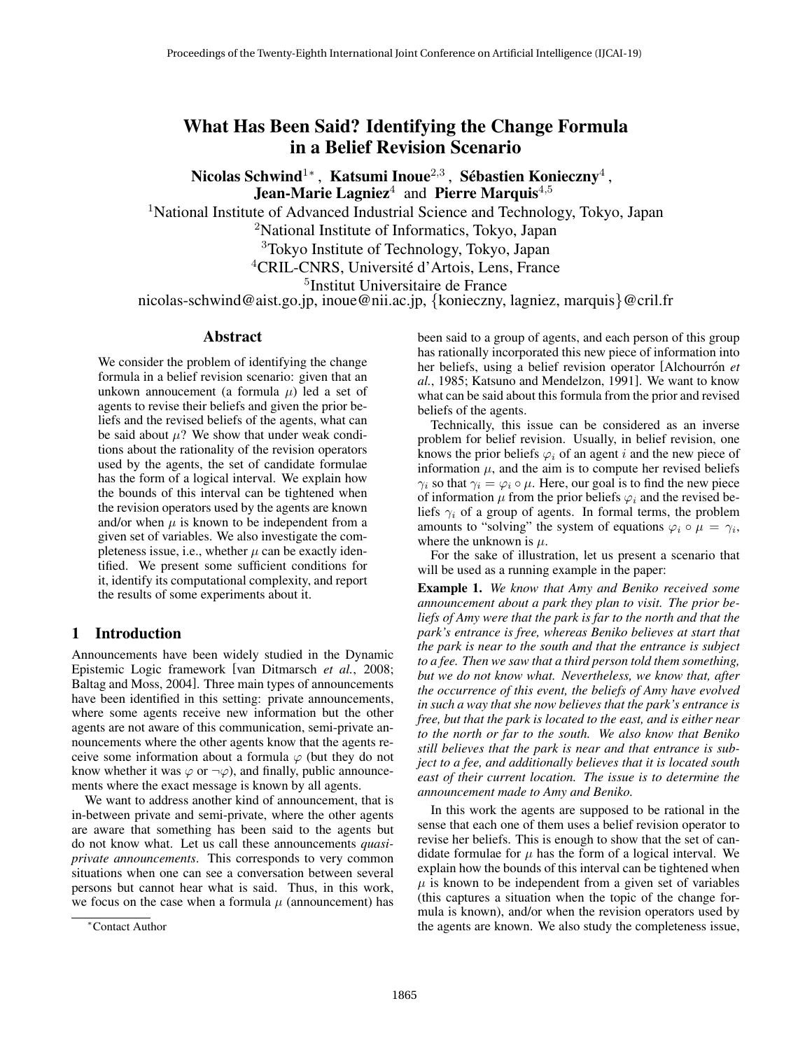# What Has Been Said? Identifying the Change Formula in a Belief Revision Scenario

Nicolas Schwind<sup>1</sup>\*, Katsumi Inoue<sup>2,3</sup>, Sébastien Konieczny<sup>4</sup>, **Jean-Marie Lagniez**<sup>4</sup> and Pierre Marquis<sup>4,5</sup>

<sup>1</sup>National Institute of Advanced Industrial Science and Technology, Tokyo, Japan

<sup>2</sup>National Institute of Informatics, Tokyo, Japan

<sup>3</sup>Tokyo Institute of Technology, Tokyo, Japan

<sup>4</sup>CRIL-CNRS, Université d'Artois, Lens, France

5 Institut Universitaire de France

nicolas-schwind@aist.go.jp, inoue@nii.ac.jp, {konieczny, lagniez, marquis}@cril.fr

### Abstract

We consider the problem of identifying the change formula in a belief revision scenario: given that an unkown annoucement (a formula  $\mu$ ) led a set of agents to revise their beliefs and given the prior beliefs and the revised beliefs of the agents, what can be said about  $\mu$ ? We show that under weak conditions about the rationality of the revision operators used by the agents, the set of candidate formulae has the form of a logical interval. We explain how the bounds of this interval can be tightened when the revision operators used by the agents are known and/or when  $\mu$  is known to be independent from a given set of variables. We also investigate the completeness issue, i.e., whether  $\mu$  can be exactly identified. We present some sufficient conditions for it, identify its computational complexity, and report the results of some experiments about it.

### 1 Introduction

Announcements have been widely studied in the Dynamic Epistemic Logic framework [van Ditmarsch *et al.*, 2008; Baltag and Moss, 2004]. Three main types of announcements have been identified in this setting: private announcements, where some agents receive new information but the other agents are not aware of this communication, semi-private announcements where the other agents know that the agents receive some information about a formula  $\varphi$  (but they do not know whether it was  $\varphi$  or  $\neg \varphi$ ), and finally, public announcements where the exact message is known by all agents.

We want to address another kind of announcement, that is in-between private and semi-private, where the other agents are aware that something has been said to the agents but do not know what. Let us call these announcements *quasiprivate announcements*. This corresponds to very common situations when one can see a conversation between several persons but cannot hear what is said. Thus, in this work, we focus on the case when a formula  $\mu$  (announcement) has been said to a group of agents, and each person of this group has rationally incorporated this new piece of information into her beliefs, using a belief revision operator [Alchourron *et al.*, 1985; Katsuno and Mendelzon, 1991]. We want to know what can be said about this formula from the prior and revised beliefs of the agents.

Technically, this issue can be considered as an inverse problem for belief revision. Usually, in belief revision, one knows the prior beliefs  $\varphi_i$  of an agent i and the new piece of information  $\mu$ , and the aim is to compute her revised beliefs  $\gamma_i$  so that  $\gamma_i = \varphi_i \circ \mu$ . Here, our goal is to find the new piece of information  $\mu$  from the prior beliefs  $\varphi_i$  and the revised beliefs  $\gamma_i$  of a group of agents. In formal terms, the problem amounts to "solving" the system of equations  $\varphi_i \circ \mu = \gamma_i$ , where the unknown is  $\mu$ .

For the sake of illustration, let us present a scenario that will be used as a running example in the paper:

Example 1. *We know that Amy and Beniko received some announcement about a park they plan to visit. The prior beliefs of Amy were that the park is far to the north and that the park's entrance is free, whereas Beniko believes at start that the park is near to the south and that the entrance is subject to a fee. Then we saw that a third person told them something, but we do not know what. Nevertheless, we know that, after the occurrence of this event, the beliefs of Amy have evolved in such a way that she now believes that the park's entrance is free, but that the park is located to the east, and is either near to the north or far to the south. We also know that Beniko still believes that the park is near and that entrance is subject to a fee, and additionally believes that it is located south east of their current location. The issue is to determine the announcement made to Amy and Beniko.*

In this work the agents are supposed to be rational in the sense that each one of them uses a belief revision operator to revise her beliefs. This is enough to show that the set of candidate formulae for  $\mu$  has the form of a logical interval. We explain how the bounds of this interval can be tightened when  $\mu$  is known to be independent from a given set of variables (this captures a situation when the topic of the change formula is known), and/or when the revision operators used by the agents are known. We also study the completeness issue,

<sup>∗</sup>Contact Author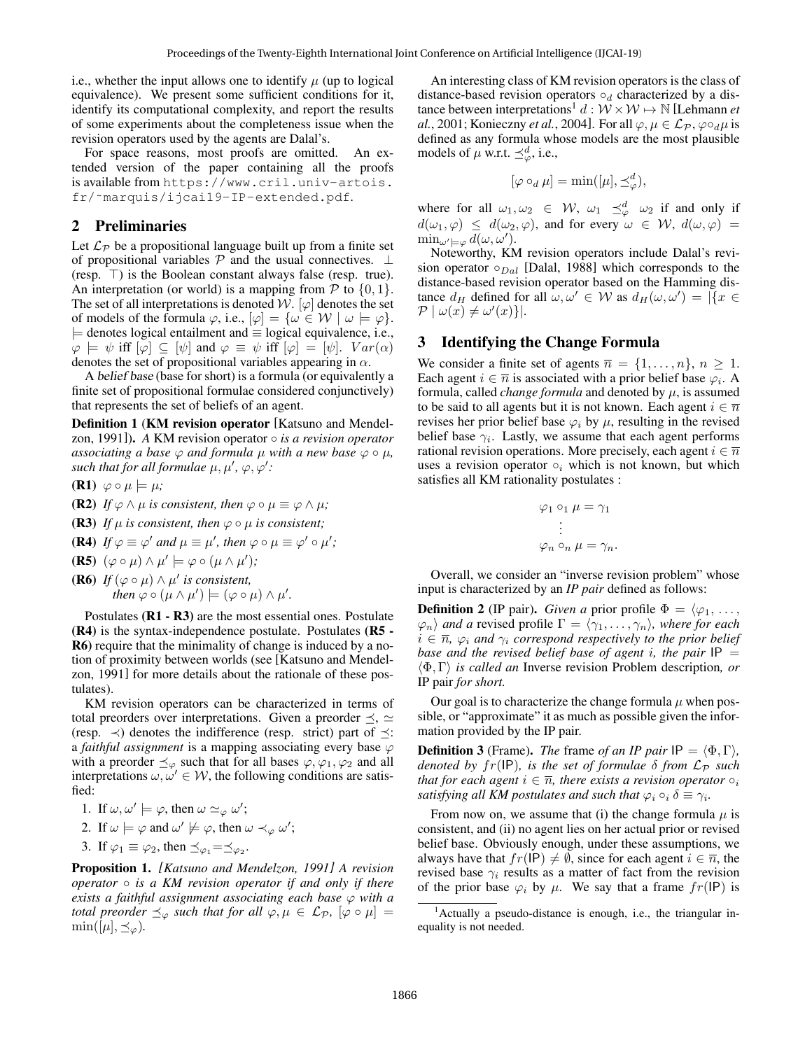i.e., whether the input allows one to identify  $\mu$  (up to logical equivalence). We present some sufficient conditions for it, identify its computational complexity, and report the results of some experiments about the completeness issue when the revision operators used by the agents are Dalal's.

For space reasons, most proofs are omitted. An extended version of the paper containing all the proofs is available from https://www.cril.univ-artois. fr/˜marquis/ijcai19-IP-extended.pdf.

# 2 Preliminaries

Let  $\mathcal{L}_{\mathcal{P}}$  be a propositional language built up from a finite set of propositional variables  $P$  and the usual connectives.  $\perp$ (resp.  $\top$ ) is the Boolean constant always false (resp. true). An interpretation (or world) is a mapping from  $P$  to  $\{0, 1\}$ . The set of all interpretations is denoted W.  $[\varphi]$  denotes the set of models of the formula  $\varphi$ , i.e.,  $[\varphi] = {\omega \in \mathcal{W} \mid \omega \models \varphi}.$ |= denotes logical entailment and ≡ logical equivalence, i.e.,  $\varphi \models \psi$  iff  $[\varphi] \subseteq [\psi]$  and  $\varphi \equiv \psi$  iff  $[\varphi] = [\psi]$ .  $Var(\alpha)$ denotes the set of propositional variables appearing in  $\alpha$ .

A belief base (base for short) is a formula (or equivalently a finite set of propositional formulae considered conjunctively) that represents the set of beliefs of an agent.

Definition 1 (KM revision operator [Katsuno and Mendelzon, 1991]). *A* KM revision operator ◦ *is a revision operator associating a base*  $\varphi$  *and formula*  $\mu$  *with a new base*  $\varphi \circ \mu$ *,* such that for all formulae  $\mu, \mu', \varphi, \varphi'$ :

- $(R1) \varphi \circ \mu \models \mu;$
- **(R2)** *If*  $\varphi \wedge \mu$  *is consistent, then*  $\varphi \circ \mu \equiv \varphi \wedge \mu$ *;*
- **(R3)** *If*  $\mu$  *is consistent, then*  $\varphi \circ \mu$  *is consistent;*
- **(R4)** If  $\varphi \equiv \varphi'$  and  $\mu \equiv \mu'$ , then  $\varphi \circ \mu \equiv \varphi' \circ \mu'$ ;
- (R5)  $(\varphi \circ \mu) \wedge \mu' \models \varphi \circ (\mu \wedge \mu')$ ;
- **(R6)** *If*  $(\varphi \circ \mu) \wedge \mu'$  *is consistent, then*  $\varphi \circ (\mu \wedge \mu') \models (\varphi \circ \mu) \wedge \mu'.$

Postulates (R1 - R3) are the most essential ones. Postulate (R4) is the syntax-independence postulate. Postulates (R5 - R6) require that the minimality of change is induced by a notion of proximity between worlds (see [Katsuno and Mendelzon, 1991] for more details about the rationale of these postulates).

KM revision operators can be characterized in terms of total preorders over interpretations. Given a preorder  $\preceq$ ,  $\simeq$ (resp.  $\prec$ ) denotes the indifference (resp. strict) part of  $\preceq$ : a *faithful assignment* is a mapping associating every base  $\varphi$ with a preorder  $\preceq_{\varphi}$  such that for all bases  $\varphi, \varphi_1, \varphi_2$  and all interpretations  $\omega, \omega' \in \mathcal{W}$ , the following conditions are satisfied:

1. If 
$$
\omega, \omega' \models \varphi
$$
, then  $\omega \simeq_{\varphi} \omega'$ ;

2. If 
$$
\omega \models \varphi
$$
 and  $\omega' \not\models \varphi$ , then  $\omega \prec_{\varphi} \omega'$ ;

3. If  $\varphi_1 \equiv \varphi_2$ , then  $\preceq_{\varphi_1} = \preceq_{\varphi_2}$ .

Proposition 1. *[Katsuno and Mendelzon, 1991] A revision operator* ◦ *is a KM revision operator if and only if there exists a faithful assignment associating each base* ϕ *with a total preorder*  $\preceq_{\varphi}$  *such that for all*  $\varphi, \mu \in \mathcal{L}_{\mathcal{P}}$ ,  $[\varphi \circ \mu] =$  $\min([\mu], \preceq_{\varphi}).$ 

An interesting class of KM revision operators is the class of distance-based revision operators  $\circ_d$  characterized by a distance between interpretations<sup>1</sup>  $d : \mathcal{W} \times \mathcal{W} \mapsto \mathbb{N}$  [Lehmann *et al.*, 2001; Konieczny *et al.*, 2004]. For all  $\varphi, \mu \in \mathcal{L}_{\mathcal{P}}, \varphi \circ_d \mu$  is defined as any formula whose models are the most plausible models of  $\mu$  w.r.t.  $\preceq^d_{\varphi}$ , i.e.,

$$
[\varphi \circ_d \mu] = \min([\mu], \preceq^d_\varphi),
$$

where for all  $\omega_1, \omega_2 \in \mathcal{W}$ ,  $\omega_1 \preceq_{\varphi}^d \omega_2$  if and only if  $d(\omega_1, \varphi) \leq d(\omega_2, \varphi)$ , and for every  $\omega \in \mathcal{W}$ ,  $d(\omega, \varphi) =$  $\min_{\omega' \models \varphi} d(\omega, \omega').$ 

Noteworthy, KM revision operators include Dalal's revision operator  $\circ_{Dal}$  [Dalal, 1988] which corresponds to the distance-based revision operator based on the Hamming distance  $d_H$  defined for all  $\omega, \omega' \in W$  as  $d_H(\omega, \omega') = |\{x \in$  $\mathcal{P} \mid \omega(x) \neq \omega'(x) \}.$ 

## 3 Identifying the Change Formula

We consider a finite set of agents  $\overline{n} = \{1, \ldots, n\}, n \ge 1$ . Each agent  $i \in \overline{n}$  is associated with a prior belief base  $\varphi_i$ . A formula, called *change formula* and denoted by  $\mu$ , is assumed to be said to all agents but it is not known. Each agent  $i \in \overline{n}$ revises her prior belief base  $\varphi_i$  by  $\mu$ , resulting in the revised belief base  $\gamma_i$ . Lastly, we assume that each agent performs rational revision operations. More precisely, each agent  $i \in \overline{n}$ uses a revision operator  $\circ_i$  which is not known, but which satisfies all KM rationality postulates :

$$
\varphi_1 \circ_1 \mu = \gamma_1
$$
  

$$
\vdots
$$
  

$$
\varphi_n \circ_n \mu = \gamma_n.
$$

Overall, we consider an "inverse revision problem" whose input is characterized by an *IP pair* defined as follows:

**Definition 2** (IP pair). *Given a* prior profile  $\Phi = \langle \varphi_1, \ldots, \varphi_n \rangle$  $\langle \varphi_n \rangle$  *and a* revised profile  $\Gamma = \langle \gamma_1, \ldots, \gamma_n \rangle$ , where for each  $i \in \overline{n}$ ,  $\varphi_i$  *and*  $\gamma_i$  *correspond respectively to the prior belief base and the revised belief base of agent i, the pair*  $IP =$ hΦ, Γi *is called an* Inverse revision Problem description*, or* IP pair *for short.*

Our goal is to characterize the change formula  $\mu$  when possible, or "approximate" it as much as possible given the information provided by the IP pair.

**Definition 3** (Frame). *The* frame *of an IP pair*  $IP = \langle \Phi, \Gamma \rangle$ , *denoted by fr*(IP), *is the set of formulae*  $\delta$  *from*  $\mathcal{L}_{\mathcal{P}}$  *such that for each agent*  $i \in \overline{n}$ *, there exists a revision operator*  $\circ_i$ *satisfying all KM postulates and such that*  $\varphi_i \circ_i \delta \equiv \gamma_i$ .

From now on, we assume that (i) the change formula  $\mu$  is consistent, and (ii) no agent lies on her actual prior or revised belief base. Obviously enough, under these assumptions, we always have that  $fr(\text{IP}) \neq \emptyset$ , since for each agent  $i \in \overline{n}$ , the revised base  $\gamma_i$  results as a matter of fact from the revision of the prior base  $\varphi_i$  by  $\mu$ . We say that a frame  $fr(IP)$  is

<sup>1</sup>Actually a pseudo-distance is enough, i.e., the triangular inequality is not needed.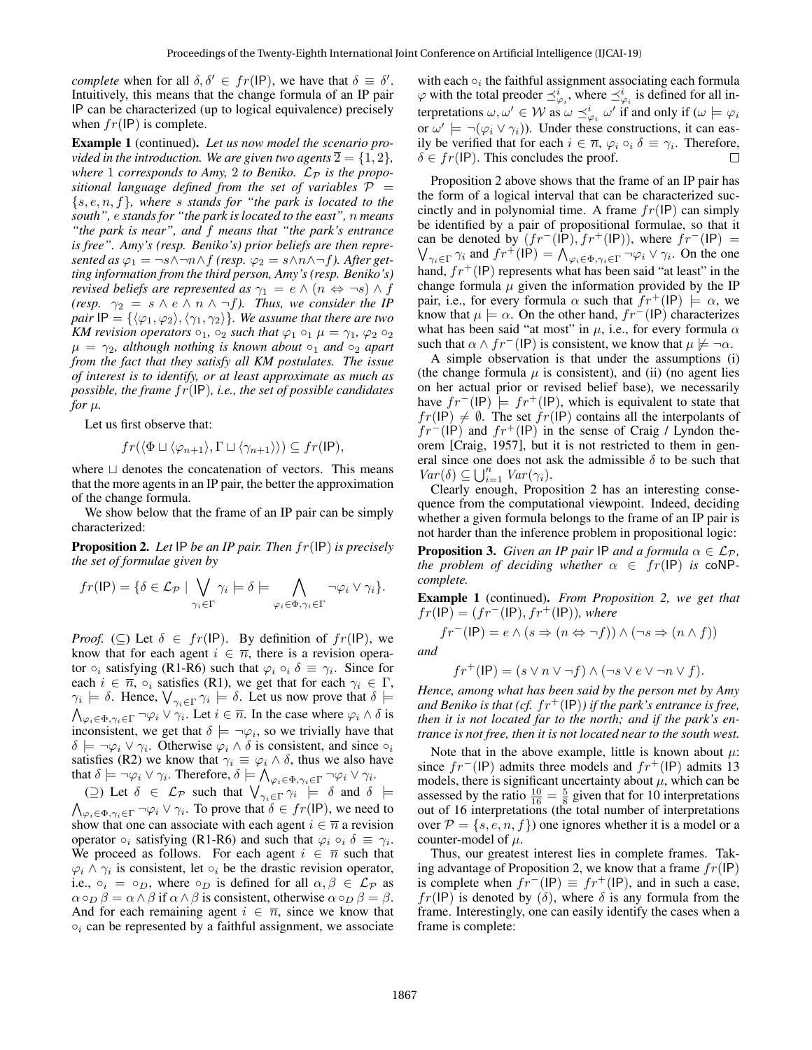*complete* when for all  $\delta, \delta' \in fr(\text{IP})$ , we have that  $\delta \equiv \delta'$ . Intuitively, this means that the change formula of an IP pair IP can be characterized (up to logical equivalence) precisely when  $fr(\text{IP})$  is complete.

Example 1 (continued). *Let us now model the scenario provided in the introduction. We are given two agents*  $\overline{2} = \{1, 2\}$ , where 1 *corresponds to Amy*, 2 *to Beniko.*  $\mathcal{L}_{\mathcal{P}}$  *is the propositional language defined from the set of variables*  $P =$ {s, e, n, f}*, where* s *stands for "the park is located to the south",* e *stands for "the park is located to the east",* n *means "the park is near", and* f *means that "the park's entrance is free". Amy's (resp. Beniko's) prior beliefs are then represented as*  $\varphi_1 = \neg s \land \neg n \land f$  *(resp.*  $\varphi_2 = s \land n \land \neg f$ *). After getting information from the third person, Amy's (resp. Beniko's) revised beliefs are represented as*  $\gamma_1 = e \wedge (n \Leftrightarrow \neg s) \wedge f$ *(resp.*  $\gamma_2 = s \wedge e \wedge n \wedge \neg f$ *). Thus, we consider the IP pair*  $IP = \{\langle \varphi_1, \varphi_2 \rangle, \langle \gamma_1, \gamma_2 \rangle\}$ *. We assume that there are two KM revision operators*  $\circ_1$ *,*  $\circ_2$  *such that*  $\varphi_1 \circ_1 \mu = \gamma_1$ *,*  $\varphi_2 \circ_2$  $\mu = \gamma_2$ , although nothing is known about  $\circ_1$  and  $\circ_2$  apart *from the fact that they satisfy all KM postulates. The issue of interest is to identify, or at least approximate as much as possible, the frame* fr(IP)*, i.e., the set of possible candidates for*  $\mu$ *.* 

Let us first observe that:

$$
fr(\langle \Phi \sqcup \langle \varphi_{n+1} \rangle, \Gamma \sqcup \langle \gamma_{n+1} \rangle) ) \subseteq fr(\mathsf{IP}),
$$

where  $\Box$  denotes the concatenation of vectors. This means that the more agents in an IP pair, the better the approximation of the change formula.

We show below that the frame of an IP pair can be simply characterized:

Proposition 2. *Let* IP *be an IP pair. Then* fr(IP) *is precisely the set of formulae given by*

$$
fr(\mathsf{IP}) = \{ \delta \in \mathcal{L}_{\mathcal{P}} \mid \bigvee_{\gamma_i \in \Gamma} \gamma_i \models \delta \models \bigwedge_{\varphi_i \in \Phi, \gamma_i \in \Gamma} \neg \varphi_i \vee \gamma_i \}.
$$

*Proof.* ( $\subseteq$ ) Let  $\delta \in fr(\text{IP})$ . By definition of  $fr(\text{IP})$ , we know that for each agent  $i \in \overline{n}$ , there is a revision operator  $\circ_i$  satisfying (R1-R6) such that  $\varphi_i \circ_i \delta \equiv \gamma_i$ . Since for each  $i \in \overline{n}$ ,  $\circ_i$  satisfies (R1), we get that for each  $\gamma_i \in \Gamma$ ,  $\gamma_i \models \delta$ . Hence,  $\bigvee_{\gamma_i \in \Gamma} \gamma_i \models \delta$ . Let us now prove that  $\delta \models$  $\bigwedge_{\varphi_i \in \Phi, \gamma_i \in \Gamma} \neg \varphi_i \vee \gamma_i$ . Let  $i \in \overline{n}$ . In the case where  $\varphi_i \wedge \delta$  is inconsistent, we get that  $\delta \models \neg \varphi_i$ , so we trivially have that  $\delta \models \neg \varphi_i \lor \gamma_i$ . Otherwise  $\varphi_i \land \delta$  is consistent, and since  $\circ_i$ satisfies (R2) we know that  $\gamma_i \equiv \varphi_i \wedge \delta$ , thus we also have that  $\delta \models \neg \varphi_i \vee \gamma_i$ . Therefore,  $\delta \models \bigwedge_{\varphi_i \in \Phi, \gamma_i \in \Gamma} \neg \varphi_i \vee \gamma_i$ .

(2) Let  $\delta \in \mathcal{L}_{\mathcal{P}}$  such that  $\bigvee_{\gamma_i \in \Gamma} \gamma_i \models \delta$  and  $\delta \models$  $\bigwedge_{\varphi_i \in \Phi, \gamma_i \in \Gamma} \neg \varphi_i \vee \gamma_i$ . To prove that  $\delta \in fr(\mathsf{IP})$ , we need to show that one can associate with each agent  $i \in \overline{n}$  a revision operator  $\circ_i$  satisfying (R1-R6) and such that  $\varphi_i \circ_i \delta \equiv \gamma_i$ . We proceed as follows. For each agent  $i \in \overline{n}$  such that  $\varphi_i \wedge \gamma_i$  is consistent, let  $\circ_i$  be the drastic revision operator, i.e.,  $\circ_i = \circ_D$ , where  $\circ_D$  is defined for all  $\alpha, \beta \in \mathcal{L}_{\mathcal{P}}$  as  $\alpha \circ_D \beta = \alpha \wedge \beta$  if  $\alpha \wedge \beta$  is consistent, otherwise  $\alpha \circ_D \beta = \beta$ . And for each remaining agent  $i \in \overline{n}$ , since we know that  $\circ_i$  can be represented by a faithful assignment, we associate

with each  $\circ_i$  the faithful assignment associating each formula  $\varphi$  with the total preoder  $\preceq^i_{\varphi_i}$ , where  $\preceq^i_{\varphi_i}$  is defined for all interpretations  $\omega, \omega' \in W$  as  $\omega \preceq_{\varphi_i}^i \omega'$  if and only if  $(\omega \models \varphi_i)$ or  $\omega' \models \neg(\varphi_i \vee \gamma_i)$ ). Under these constructions, it can easily be verified that for each  $i \in \overline{n}$ ,  $\varphi_i \circ_i \delta \equiv \gamma_i$ . Therefore,  $\delta \in fr(\text{IP})$ . This concludes the proof.

Proposition 2 above shows that the frame of an IP pair has the form of a logical interval that can be characterized succinctly and in polynomial time. A frame  $fr(IP)$  can simply be identified by a pair of propositional formulae, so that it can be denoted by  $(f r^{-}(\mathsf{IP}), fr^{+}(\mathsf{IP}))$ , where  $fr^{-}(\mathsf{IP}) =$  $\bigvee_{\gamma_i \in \Gamma} \gamma_i$  and  $fr^+(\mathsf{IP}) = \bigwedge_{\varphi_i \in \Phi, \gamma_i \in \Gamma} \neg \varphi_i \vee \gamma_i$ . On the one hand,  $fr^+(IP)$  represents what has been said "at least" in the change formula  $\mu$  given the information provided by the IP pair, i.e., for every formula  $\alpha$  such that  $fr^+(IP) \models \alpha$ , we know that  $\mu \models \alpha$ . On the other hand,  $fr^{-}(\text{IP})$  characterizes what has been said "at most" in  $\mu$ , i.e., for every formula  $\alpha$ such that  $\alpha \wedge fr^{-}$ (IP) is consistent, we know that  $\mu \not\models \neg \alpha$ .

A simple observation is that under the assumptions (i) (the change formula  $\mu$  is consistent), and (ii) (no agent lies on her actual prior or revised belief base), we necessarily have  $fr^{-}$ (IP)  $\models fr^{+}$ (IP), which is equivalent to state that  $fr(IP) \neq \emptyset$ . The set  $fr(IP)$  contains all the interpolants of  $fr^{-}$ (IP) and  $fr^{+}$ (IP) in the sense of Craig / Lyndon theorem [Craig, 1957], but it is not restricted to them in general since one does not ask the admissible  $\delta$  to be such that  $Var(\delta) \subseteq \bigcup_{i=1}^{n} Var(\gamma_i).$ 

Clearly enough, Proposition 2 has an interesting consequence from the computational viewpoint. Indeed, deciding whether a given formula belongs to the frame of an IP pair is not harder than the inference problem in propositional logic:

**Proposition 3.** *Given an IP pair* IP *and a formula*  $\alpha \in \mathcal{L}_{\mathcal{P}}$ *, the problem of deciding whether*  $\alpha \in fr(\text{IP})$  *is* coNP*complete.*

Example 1 (continued). *From Proposition 2, we get that*  $fr(IP) = (fr^{-}(IP), fr^{+}(IP))$ *, where* 

$$
fr^{-}(\mathsf{IP}) = e \land (s \Rightarrow (n \Leftrightarrow \neg f)) \land (\neg s \Rightarrow (n \land f))
$$

*and*

$$
fr^+(IP) = (s \lor n \lor \neg f) \land (\neg s \lor e \lor \neg n \lor f).
$$

*Hence, among what has been said by the person met by Amy and Beniko is that (cf. fr*<sup>+</sup>(IP)) *if the park's entrance is free, then it is not located far to the north; and if the park's entrance is not free, then it is not located near to the south west.*

Note that in the above example, little is known about  $\mu$ : since  $fr^{-}(IP)$  admits three models and  $fr^{+}(IP)$  admits 13 models, there is significant uncertainty about  $\mu$ , which can be assessed by the ratio  $\frac{10}{16} = \frac{5}{8}$  given that for 10 interpretations out of 16 interpretations (the total number of interpretations over  $P = \{s, e, n, f\}$  one ignores whether it is a model or a counter-model of  $\mu$ .

Thus, our greatest interest lies in complete frames. Taking advantage of Proposition 2, we know that a frame  $fr(\text{IP})$ is complete when  $fr^{-}(\text{IP}) \equiv fr^{+}(\text{IP})$ , and in such a case,  $fr(IP)$  is denoted by  $(\delta)$ , where  $\delta$  is any formula from the frame. Interestingly, one can easily identify the cases when a frame is complete: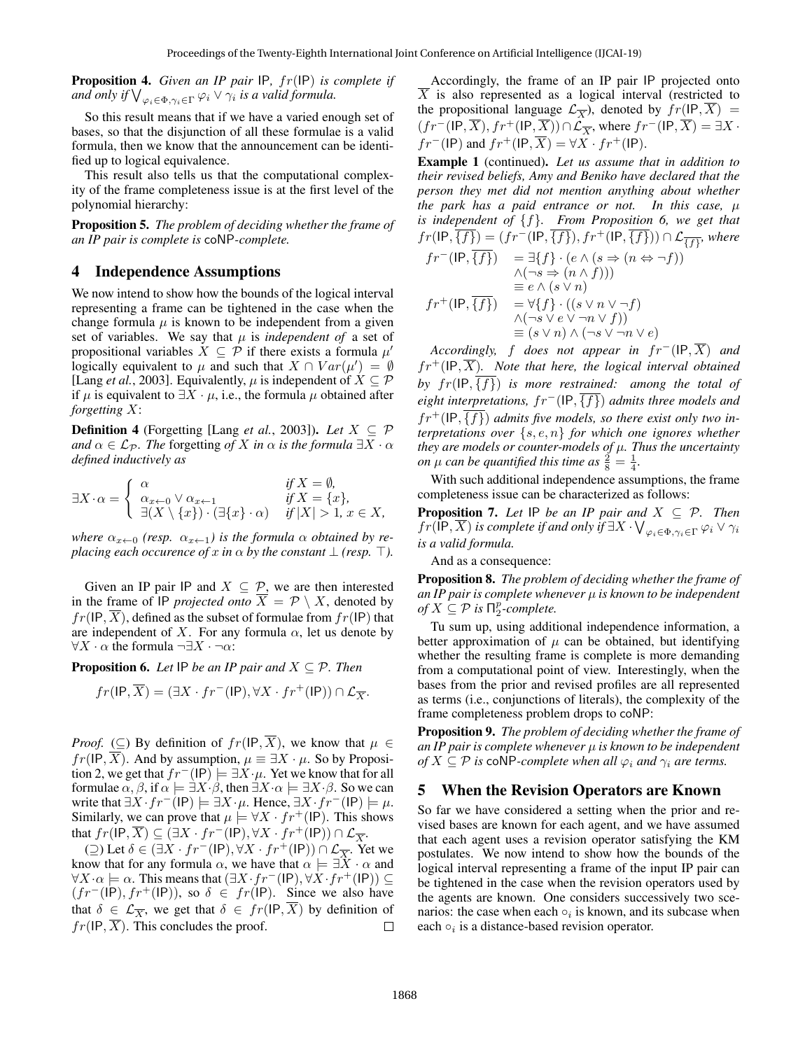Proposition 4. *Given an IP pair* IP*,* fr(IP) *is complete if* and only if  $\bigvee_{\varphi_i \in \Phi, \gamma_i \in \Gamma} \varphi_i \vee \gamma_i$  is a valid formula.

So this result means that if we have a varied enough set of bases, so that the disjunction of all these formulae is a valid formula, then we know that the announcement can be identified up to logical equivalence.

This result also tells us that the computational complexity of the frame completeness issue is at the first level of the polynomial hierarchy:

Proposition 5. *The problem of deciding whether the frame of an IP pair is complete is* coNP*-complete.*

# 4 Independence Assumptions

We now intend to show how the bounds of the logical interval representing a frame can be tightened in the case when the change formula  $\mu$  is known to be independent from a given set of variables. We say that  $\mu$  is *independent of* a set of propositional variables  $\dot{X} \subseteq \dot{\mathcal{P}}$  if there exists a formula  $\mu'$ logically equivalent to  $\mu$  and such that  $X \cap Var(\mu') = \emptyset$ [Lang *et al.*, 2003]. Equivalently,  $\mu$  is independent of  $X \subseteq \mathcal{P}$ if  $\mu$  is equivalent to  $\exists X \cdot \mu$ , i.e., the formula  $\mu$  obtained after *forgetting* X:

**Definition 4** (Forgetting [Lang *et al.*, 2003]). *Let*  $X \subseteq \mathcal{P}$ *and*  $\alpha \in \mathcal{L}_{\mathcal{P}}$ *. The* forgetting *of* X *in*  $\alpha$  *is the formula*  $\exists X \cdot \alpha$ *defined inductively as*

$$
\exists X \cdot \alpha = \begin{cases} \begin{array}{ll} \alpha & \text{if } X = \emptyset, \\ \alpha_{x \leftarrow 0} \vee \alpha_{x \leftarrow 1} & \text{if } X = \{x\}, \\ \exists (X \setminus \{x\}) \cdot (\exists \{x\} \cdot \alpha) & \text{if } |X| > 1, x \in X, \end{array} \end{cases}
$$

*where*  $\alpha_{x \leftarrow 0}$  (*resp.*  $\alpha_{x \leftarrow 1}$ *) is the formula*  $\alpha$  *obtained by replacing each occurence of* x *in*  $\alpha$  *by the constant*  $\bot$  *(resp.*  $\top$ *).* 

Given an IP pair IP and  $X \subseteq \mathcal{P}$ , we are then interested in the frame of IP *projected onto*  $\overline{X} = \mathcal{P} \setminus X$ , denoted by  $fr(\text{IP}, \overline{X})$ , defined as the subset of formulae from  $fr(\text{IP})$  that are independent of X. For any formula  $\alpha$ , let us denote by  $\forall X \cdot \alpha$  the formula  $\neg \exists X \cdot \neg \alpha$ :

**Proposition 6.** *Let*  $\text{IP }$  *be an IP pair and*  $X \subseteq \mathcal{P}$ *. Then* 

$$
fr(\mathsf{IP},\overline{X}) = (\exists X \cdot fr^{-}(\mathsf{IP}), \forall X \cdot fr^{+}(\mathsf{IP})) \cap \mathcal{L}_{\overline{X}}.
$$

*Proof.* (⊆) By definition of  $fr(\text{IP}, \overline{X})$ , we know that  $\mu \in$  $fr(\text{IP}, \overline{X})$ . And by assumption,  $\mu \equiv \exists X \cdot \mu$ . So by Proposition 2, we get that  $fr^{-}(\text{IP}) \models \exists X \cdot \mu$ . Yet we know that for all formulae  $\alpha, \beta$ , if  $\alpha \models \exists X \cdot \beta$ , then  $\exists X \cdot \alpha \models \exists X \cdot \beta$ . So we can write that  $\exists X \cdot fr^{-1}(\mathsf{IP}) \models \exists X \cdot \mu$ . Hence,  $\exists X \cdot fr^{-1}(\mathsf{IP}) \models \mu$ . Similarly, we can prove that  $\mu \models \forall X \cdot fr^{+}(\text{IP})$ . This shows that  $fr(\mathsf{IP}, \overline{X}) \subseteq (\exists X \cdot fr^{-1}(\mathsf{IP}), \forall X \cdot fr^{+}(\mathsf{IP})) \cap \mathcal{L}_{\overline{X}}.$ 

(⊇) Let  $\delta \in (\exists X \cdot fr^-(\mathsf{IP}), \forall X \cdot fr^+(\mathsf{IP})) \cap \mathcal{L}_{\overline{X}}$ . Yet we know that for any formula  $\alpha$ , we have that  $\alpha \models \exists X \cdot \alpha$  and  $\forall X \cdot \alpha \models \alpha$ . This means that  $(\exists X \cdot fr^{-1}(\mathsf{IP}), \forall X \cdot fr^{+}(\mathsf{IP})) \subseteq$  $(f r^{-1}(IP), fr^{+}(IP))$ , so  $\delta \in fr(IP)$ . Since we also have that  $\delta \in \mathcal{L}_{\overline{X}}$ , we get that  $\delta \in \mathfrak{fr}(\mathfrak{l}P, \overline{X})$  by definition of  $fr(\text{IP}, \overline{X})$ . This concludes the proof.  $\Box$ 

Accordingly, the frame of an IP pair IP projected onto  $\overline{X}$  is also represented as a logical interval (restricted to the propositional language  $\mathcal{L}_{\overline{X}}$ ), denoted by  $fr(\mathsf{IP}, \overline{X}) =$  $(f r^{-1}(\mathsf{IP}, \overline{X}), fr^{+}(\mathsf{IP}, \overline{X})) \cap \mathcal{L}_{\overline{X}}$ , where  $fr^{-1}(\mathsf{IP}, \overline{X}) = \exists X \cdot$  $fr^{-}$ (IP) and  $fr^{+}$ (IP,  $\overline{X}$ ) =  $\forall X \cdot fr^{+}$ (IP).

Example 1 (continued). *Let us assume that in addition to their revised beliefs, Amy and Beniko have declared that the person they met did not mention anything about whether the park has a paid entrance or not. In this case,*  $\mu$ *is independent of* {f}*. From Proposition 6, we get that*  $fr(\textsf{IP},\overline{\{f\}})=(fr^{-}(\textsf{IP},\overline{\{f\}}),fr^{+}(\textsf{IP},\overline{\{f\}}))\cap \mathcal{L}_{\overline{\{f\}}},$  where  $fr^{-}(\text{IP}, \overline{\{f\}}) = \exists \{f\} \cdot (e \land (s \Rightarrow (n \Leftrightarrow \neg f))$  $\wedge (\neg s \Rightarrow (n \wedge f)))$  $\equiv e \wedge (s \vee n)$  $fr^+(\text{IP}, \overline{\{f\}}) = \forall \{f\} \cdot ((s \lor n \lor \neg f))$  $\wedge (\neg s \vee e \vee \neg n \vee f))$ 

*Accordingly,* f *does not appear in*  $fr^{-}$ (IP,  $\overline{X}$ ) *and*  $fr^+(IP, \overline{X})$ . Note that here, the logical interval obtained *by*  $fr(\text{IP}, \overline{\{f\}})$  *is more restrained: among the total of eight interpretations,*  $fr^{-}$ (IP, $\overline{\{f\}}$ ) *admits three models and*  $fr<sup>+</sup>(IP, {f})$  *admits five models, so there exist only two interpretations over* {s, e, n} *for which one ignores whether they are models or counter-models of* µ*. Thus the uncertainty on*  $\mu$  *can be quantified this time as*  $\frac{2}{8} = \frac{1}{4}$ *.* 

 $\equiv (s \vee n) \wedge (\neg s \vee \neg n \vee e)$ 

With such additional independence assumptions, the frame completeness issue can be characterized as follows:

**Proposition 7.** Let  $\text{IP}$  be an IP pair and  $X \subseteq \mathcal{P}$ . Then  $fr(\mathsf{IP},\overline{X})$  *is complete if and only if*  $\exists X\cdot \bigvee_{\varphi_i\in \Phi, \gamma_i\in \Gamma}\varphi_i\vee \gamma_i$ *is a valid formula.*

And as a consequence:

Proposition 8. *The problem of deciding whether the frame of an IP pair is complete whenever* µ *is known to be independent of*  $X \subseteq \mathcal{P}$  *is*  $\prod_{2}^{p}$ *-complete.* 

Tu sum up, using additional independence information, a better approximation of  $\mu$  can be obtained, but identifying whether the resulting frame is complete is more demanding from a computational point of view. Interestingly, when the bases from the prior and revised profiles are all represented as terms (i.e., conjunctions of literals), the complexity of the frame completeness problem drops to coNP:

Proposition 9. *The problem of deciding whether the frame of an IP pair is complete whenever* µ *is known to be independent of*  $X \subseteq \mathcal{P}$  *is* coNP-complete when all  $\varphi_i$  *and*  $\gamma_i$  *are terms.* 

#### 5 When the Revision Operators are Known

So far we have considered a setting when the prior and revised bases are known for each agent, and we have assumed that each agent uses a revision operator satisfying the KM postulates. We now intend to show how the bounds of the logical interval representing a frame of the input IP pair can be tightened in the case when the revision operators used by the agents are known. One considers successively two scenarios: the case when each  $\circ_i$  is known, and its subcase when each  $\circ_i$  is a distance-based revision operator.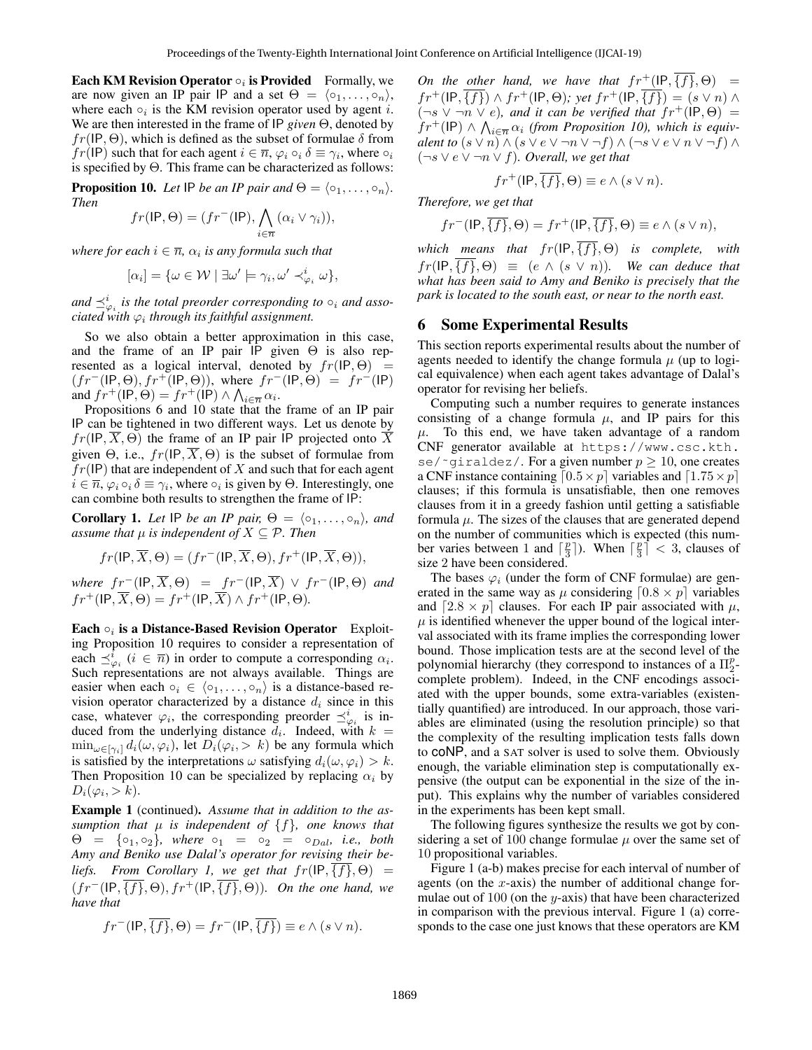Each KM Revision Operator  $\circ_i$  is Provided Formally, we are now given an IP pair IP and a set  $\Theta = \langle o_1, \ldots, o_n \rangle$ , where each  $\circ_i$  is the KM revision operator used by agent i. We are then interested in the frame of IP *given* Θ, denoted by  $fr(\text{IP}, \Theta)$ , which is defined as the subset of formulae  $\delta$  from  $fr(\text{IP})$  such that for each agent  $i \in \overline{n}$ ,  $\varphi_i \circ_i \delta \equiv \gamma_i$ , where  $\circ_i$ is specified by Θ. This frame can be characterized as follows:

**Proposition 10.** *Let* IP *be an IP pair and*  $\Theta = \langle \circ_1, \ldots, \circ_n \rangle$ *. Then*

$$
fr(\mathsf{IP}, \Theta) = (fr^{-}(\mathsf{IP}), \bigwedge_{i \in \overline{n}} (\alpha_i \vee \gamma_i)),
$$

where for each  $i \in \overline{n}$ ,  $\alpha_i$  is any formula such that

$$
[\alpha_i] = \{ \omega \in \mathcal{W} \mid \exists \omega' \models \gamma_i, \omega' \prec_{\varphi_i}^i \omega \},
$$

and  $\preceq_{\varphi_i}^i$  is the total preorder corresponding to  $\circ_i$  and asso $c$ iated with  $\varphi_i$  through its faithful assignment.

So we also obtain a better approximation in this case, and the frame of an IP pair IP given  $\Theta$  is also represented as a logical interval, denoted by  $fr(\text{IP}, \Theta)$  =  $(f r^{-1}(IP, \Theta), fr^{+1}(IP, \Theta))$ , where  $fr^{-1}(IP, \Theta) = fr^{-1}(IP)$ and  $fr^+(IP, \Theta) = fr^+(\mathsf{IP}) \wedge \bigwedge_{i \in \overline{n}} \alpha_i$ .

Propositions 6 and 10 state that the frame of an IP pair IP can be tightened in two different ways. Let us denote by  $fr(\text{IP}, \overline{X}, \Theta)$  the frame of an IP pair IP projected onto  $\overline{X}$ given  $\Theta$ , i.e.,  $fr(\text{IP}, \overline{X}, \Theta)$  is the subset of formulae from  $fr(IP)$  that are independent of X and such that for each agent  $i \in \overline{n}$ ,  $\varphi_i \circ_i \delta \equiv \gamma_i$ , where  $\circ_i$  is given by  $\Theta$ . Interestingly, one can combine both results to strengthen the frame of IP:

**Corollary 1.** Let IP be an IP pair,  $\Theta = \langle \circ_1, \ldots, \circ_n \rangle$ , and *assume that*  $\mu$  *is independent of*  $X \subseteq \mathcal{P}$ *. Then* 

$$
fr(\mathsf{IP}, \overline{X}, \Theta) = (fr^{-}(\mathsf{IP}, \overline{X}, \Theta), fr^{+}(\mathsf{IP}, \overline{X}, \Theta)),
$$

*where*  $fr^{-}(\text{IP}, \overline{X}, \Theta) = fr^{-}(\text{IP}, \overline{X}) \vee fr^{-}(\text{IP}, \Theta)$  *and*  $fr^+(IP, \overline{X}, \Theta) = fr^+(IP, \overline{X}) \wedge fr^+(IP, \Theta).$ 

Each  $\circ_i$  is a Distance-Based Revision Operator Exploiting Proposition 10 requires to consider a representation of each  $\preceq_{\varphi_i}^{\overline{i}} (i \in \overline{n})$  in order to compute a corresponding  $\alpha_i$ . Such representations are not always available. Things are easier when each  $\circ_i \in \langle \circ_1, \ldots, \circ_n \rangle$  is a distance-based revision operator characterized by a distance  $d_i$  since in this case, whatever  $\varphi_i$ , the corresponding preorder  $\preceq^i_{\varphi_i}$  is induced from the underlying distance  $d_i$ . Indeed, with  $k =$  $\min_{\omega \in [\gamma_i]} d_i(\omega, \varphi_i)$ , let  $D_i(\varphi_i, > k)$  be any formula which is satisfied by the interpretations  $\omega$  satisfying  $d_i(\omega, \varphi_i) > k$ . Then Proposition 10 can be specialized by replacing  $\alpha_i$  by  $D_i(\varphi_i, > k).$ 

Example 1 (continued). *Assume that in addition to the assumption that*  $\mu$  *is independent of*  $\{f\}$ *, one knows that*  $\Theta = \{o_1, o_2\}$ , where  $o_1 = o_2 = o_{Dal}$ , i.e., both *Amy and Beniko use Dalal's operator for revising their beliefs. From Corollary 1, we get that*  $fr(\text{IP}, \{f\}, \Theta) =$  $(f r^{-1}(\mathsf{IP}, \overline{\{f\}}, \Theta), fr^{+}(\mathsf{IP}, \overline{\{f\}}, \Theta)).$  On the one hand, we *have that*

$$
fr^{-}(\mathsf{IP}, \overline{\{f\}}, \Theta) = fr^{-}(\mathsf{IP}, \overline{\{f\}}) \equiv e \wedge (s \vee n).
$$

*On the other hand, we have that*  $fr^+(\text{IP}, \overline{\{f\}}, \Theta) =$  $fr^+(\text{IP}, \overline{\{f\}}) \wedge fr^+(\text{IP}, \Theta)$ ; yet  $fr^+(\text{IP}, \overline{\{f\}}) = (s \vee n) \wedge$  $(\neg s \lor \neg n \lor e)$ , and it can be verified that  $fr^+(IP, \Theta)$  =  $f r^+$ (IP)  $\wedge \bigwedge_{i \in \overline{n}} \alpha_i$  (from Proposition 10), which is equiv*alent to*  $(s \vee n) \wedge (s \vee e \vee \neg n \vee \neg f) \wedge (\neg s \vee e \vee n \vee \neg f) \wedge$ (¬s ∨ e ∨ ¬n ∨ f)*. Overall, we get that*

$$
fr^+(\mathsf{IP}, \overline{\{f\}}, \Theta) \equiv e \wedge (s \vee n).
$$

*Therefore, we get that*

$$
fr^{-}(\mathsf{IP}, \overline{\{f\}}, \Theta) = fr^{+}(\mathsf{IP}, \overline{\{f\}}, \Theta) \equiv e \wedge (s \vee n),
$$

*which means that*  $fr(\text{IP}, \overline{\{f\}}, \Theta)$  *is complete, with*  $fr(\text{IP}, \overline{\{f\}}, \Theta) \equiv (e \wedge (s \vee n))$ *. We can deduce that what has been said to Amy and Beniko is precisely that the park is located to the south east, or near to the north east.*

### 6 Some Experimental Results

This section reports experimental results about the number of agents needed to identify the change formula  $\mu$  (up to logical equivalence) when each agent takes advantage of Dalal's operator for revising her beliefs.

Computing such a number requires to generate instances consisting of a change formula  $\mu$ , and IP pairs for this  $\mu$ . To this end, we have taken advantage of a random CNF generator available at https://www.csc.kth. se/ $\lceil \cdot \text{qiral} \rceil$ . For a given number  $p \geq 10$ , one creates a CNF instance containing  $[0.5\times p]$  variables and  $[1.75\times p]$ clauses; if this formula is unsatisfiable, then one removes clauses from it in a greedy fashion until getting a satisfiable formula  $\mu$ . The sizes of the clauses that are generated depend on the number of communities which is expected (this number varies between 1 and  $\lceil \frac{p}{3} \rceil$ ). When  $\lceil \frac{p}{3} \rceil < 3$ , clauses of size 2 have been considered.

The bases  $\varphi_i$  (under the form of CNF formulae) are generated in the same way as  $\mu$  considering  $[0.8 \times p]$  variables and  $[2.8 \times p]$  clauses. For each IP pair associated with  $\mu$ ,  $\mu$  is identified whenever the upper bound of the logical interval associated with its frame implies the corresponding lower bound. Those implication tests are at the second level of the polynomial hierarchy (they correspond to instances of a  $\Pi_2^p$ complete problem). Indeed, in the CNF encodings associated with the upper bounds, some extra-variables (existentially quantified) are introduced. In our approach, those variables are eliminated (using the resolution principle) so that the complexity of the resulting implication tests falls down to coNP, and a SAT solver is used to solve them. Obviously enough, the variable elimination step is computationally expensive (the output can be exponential in the size of the input). This explains why the number of variables considered in the experiments has been kept small.

The following figures synthesize the results we got by considering a set of 100 change formulae  $\mu$  over the same set of 10 propositional variables.

Figure 1 (a-b) makes precise for each interval of number of agents (on the  $x$ -axis) the number of additional change formulae out of  $100$  (on the y-axis) that have been characterized in comparison with the previous interval. Figure 1 (a) corresponds to the case one just knows that these operators are KM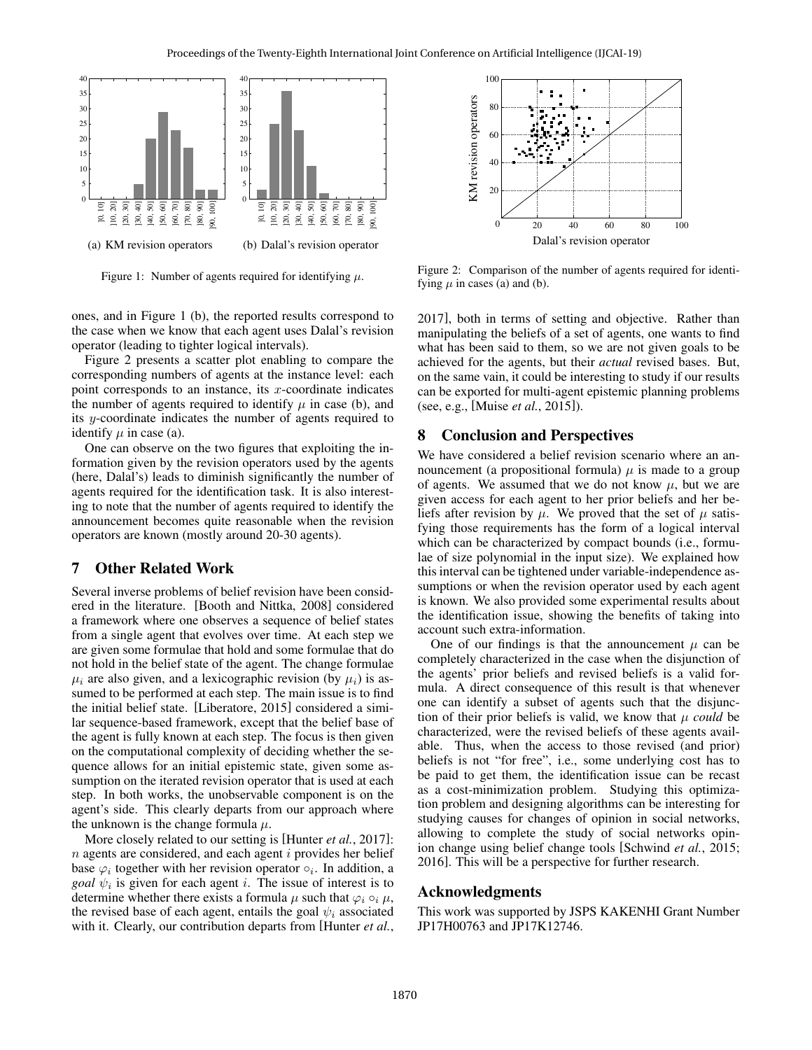

Figure 1: Number of agents required for identifying  $\mu$ .

ones, and in Figure 1 (b), the reported results correspond to the case when we know that each agent uses Dalal's revision operator (leading to tighter logical intervals).

Figure 2 presents a scatter plot enabling to compare the corresponding numbers of agents at the instance level: each point corresponds to an instance, its  $x$ -coordinate indicates the number of agents required to identify  $\mu$  in case (b), and its y-coordinate indicates the number of agents required to identify  $\mu$  in case (a).

One can observe on the two figures that exploiting the information given by the revision operators used by the agents (here, Dalal's) leads to diminish significantly the number of agents required for the identification task. It is also interesting to note that the number of agents required to identify the announcement becomes quite reasonable when the revision operators are known (mostly around 20-30 agents).

# 7 Other Related Work

Several inverse problems of belief revision have been considered in the literature. [Booth and Nittka, 2008] considered a framework where one observes a sequence of belief states from a single agent that evolves over time. At each step we are given some formulae that hold and some formulae that do not hold in the belief state of the agent. The change formulae  $\mu_i$  are also given, and a lexicographic revision (by  $\mu_i$ ) is assumed to be performed at each step. The main issue is to find the initial belief state. [Liberatore, 2015] considered a similar sequence-based framework, except that the belief base of the agent is fully known at each step. The focus is then given on the computational complexity of deciding whether the sequence allows for an initial epistemic state, given some assumption on the iterated revision operator that is used at each step. In both works, the unobservable component is on the agent's side. This clearly departs from our approach where the unknown is the change formula  $\mu$ .

More closely related to our setting is [Hunter *et al.*, 2017]:  $n$  agents are considered, and each agent  $i$  provides her belief base  $\varphi_i$  together with her revision operator  $\circ_i$ . In addition, a *goal*  $\psi_i$  is given for each agent *i*. The issue of interest is to determine whether there exists a formula  $\mu$  such that  $\varphi_i \circ_i \mu$ , the revised base of each agent, entails the goal  $\psi_i$  associated with it. Clearly, our contribution departs from [Hunter *et al.*,



Figure 2: Comparison of the number of agents required for identifying  $\mu$  in cases (a) and (b).

2017], both in terms of setting and objective. Rather than manipulating the beliefs of a set of agents, one wants to find what has been said to them, so we are not given goals to be achieved for the agents, but their *actual* revised bases. But, on the same vain, it could be interesting to study if our results can be exported for multi-agent epistemic planning problems (see, e.g., [Muise *et al.*, 2015]).

### 8 Conclusion and Perspectives

We have considered a belief revision scenario where an announcement (a propositional formula)  $\mu$  is made to a group of agents. We assumed that we do not know  $\mu$ , but we are given access for each agent to her prior beliefs and her beliefs after revision by  $\mu$ . We proved that the set of  $\mu$  satisfying those requirements has the form of a logical interval which can be characterized by compact bounds (i.e., formulae of size polynomial in the input size). We explained how this interval can be tightened under variable-independence assumptions or when the revision operator used by each agent is known. We also provided some experimental results about the identification issue, showing the benefits of taking into account such extra-information.

One of our findings is that the announcement  $\mu$  can be completely characterized in the case when the disjunction of the agents' prior beliefs and revised beliefs is a valid formula. A direct consequence of this result is that whenever one can identify a subset of agents such that the disjunction of their prior beliefs is valid, we know that  $\mu$  *could* be characterized, were the revised beliefs of these agents available. Thus, when the access to those revised (and prior) beliefs is not "for free", i.e., some underlying cost has to be paid to get them, the identification issue can be recast as a cost-minimization problem. Studying this optimization problem and designing algorithms can be interesting for studying causes for changes of opinion in social networks, allowing to complete the study of social networks opinion change using belief change tools [Schwind *et al.*, 2015; 2016]. This will be a perspective for further research.

#### Acknowledgments

This work was supported by JSPS KAKENHI Grant Number JP17H00763 and JP17K12746.